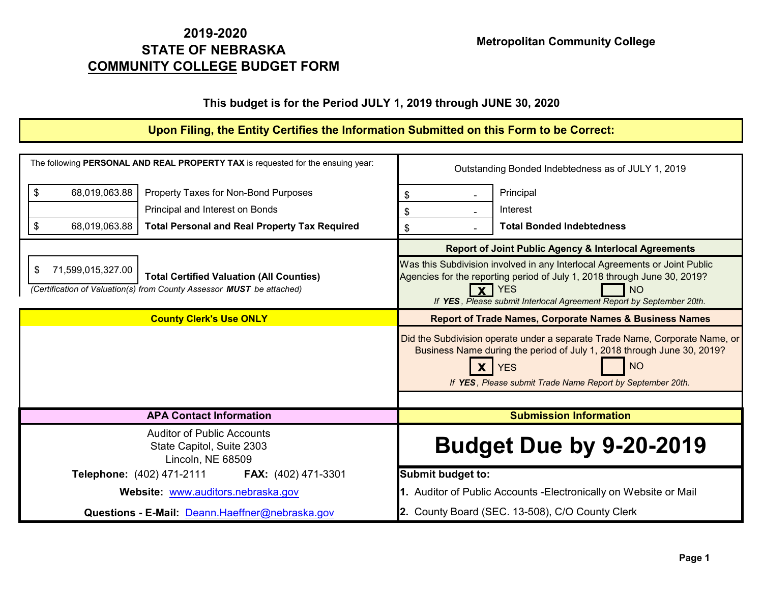## **2019-2020 STATE OF NEBRASKA Metropolitan Community College COMMUNITY COLLEGE BUDGET FORM**

## **This budget is for the Period JULY 1, 2019 through JUNE 30, 2020**

## **Upon Filing, the Entity Certifies the Information Submitted on this Form to be Correct:**

| The following PERSONAL AND REAL PROPERTY TAX is requested for the ensuing year:                                                                     | Outstanding Bonded Indebtedness as of JULY 1, 2019                                                                                                                                                                                                        |  |  |
|-----------------------------------------------------------------------------------------------------------------------------------------------------|-----------------------------------------------------------------------------------------------------------------------------------------------------------------------------------------------------------------------------------------------------------|--|--|
| \$<br>68,019,063.88<br>Property Taxes for Non-Bond Purposes                                                                                         | Principal<br>\$                                                                                                                                                                                                                                           |  |  |
| Principal and Interest on Bonds                                                                                                                     | Interest<br>\$                                                                                                                                                                                                                                            |  |  |
| 68,019,063.88<br><b>Total Personal and Real Property Tax Required</b><br>\$                                                                         | <b>Total Bonded Indebtedness</b><br>\$                                                                                                                                                                                                                    |  |  |
|                                                                                                                                                     | <b>Report of Joint Public Agency &amp; Interlocal Agreements</b>                                                                                                                                                                                          |  |  |
| 71,599,015,327.00<br>\$<br><b>Total Certified Valuation (All Counties)</b><br>(Certification of Valuation(s) from County Assessor MUST be attached) | Was this Subdivision involved in any Interlocal Agreements or Joint Public<br>Agencies for the reporting period of July 1, 2018 through June 30, 2019?<br><b>YES</b><br><b>NO</b><br>If YES, Please submit Interlocal Agreement Report by September 20th. |  |  |
| <b>County Clerk's Use ONLY</b>                                                                                                                      | <b>Report of Trade Names, Corporate Names &amp; Business Names</b>                                                                                                                                                                                        |  |  |
|                                                                                                                                                     | Did the Subdivision operate under a separate Trade Name, Corporate Name, or<br>Business Name during the period of July 1, 2018 through June 30, 2019?<br><b>NO</b><br><b>YES</b><br>If YES, Please submit Trade Name Report by September 20th.            |  |  |
| <b>APA Contact Information</b>                                                                                                                      | <b>Submission Information</b>                                                                                                                                                                                                                             |  |  |
| <b>Auditor of Public Accounts</b><br>State Capitol, Suite 2303<br>Lincoln, NE 68509                                                                 | <b>Budget Due by 9-20-2019</b>                                                                                                                                                                                                                            |  |  |
| Telephone: (402) 471-2111<br><b>FAX:</b> (402) 471-3301                                                                                             | <b>Submit budget to:</b>                                                                                                                                                                                                                                  |  |  |
| Website: www.auditors.nebraska.gov                                                                                                                  | 1. Auditor of Public Accounts - Electronically on Website or Mail                                                                                                                                                                                         |  |  |
| Questions - E-Mail: Deann.Haeffner@nebraska.gov                                                                                                     | 2. County Board (SEC. 13-508), C/O County Clerk                                                                                                                                                                                                           |  |  |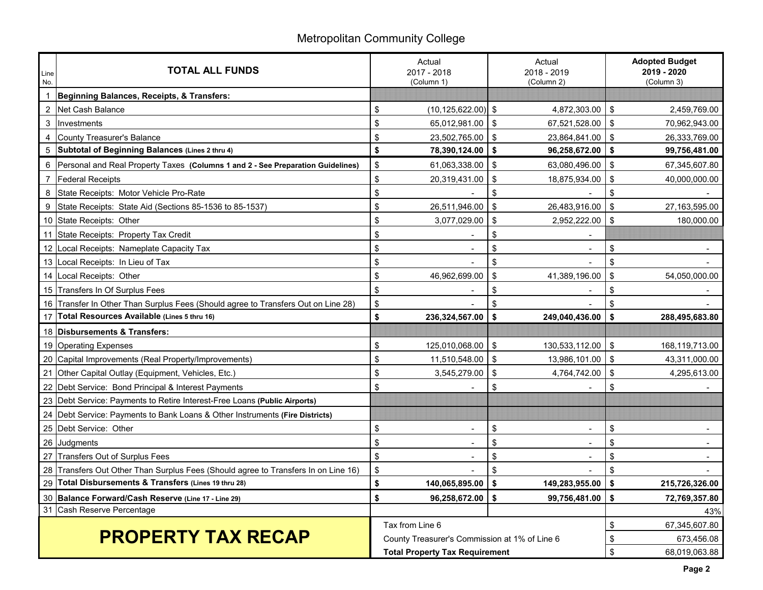# Metropolitan Community College

| Line<br>No.    | <b>TOTAL ALL FUNDS</b>                                                          |                                               | Actual<br>Actual<br>2017 - 2018<br>2018 - 2019<br>(Column 1)<br>(Column 2) |     |                          | <b>Adopted Budget</b><br>2019 - 2020<br>(Column 3) |                |
|----------------|---------------------------------------------------------------------------------|-----------------------------------------------|----------------------------------------------------------------------------|-----|--------------------------|----------------------------------------------------|----------------|
|                | Beginning Balances, Receipts, & Transfers:                                      |                                               |                                                                            |     |                          |                                                    |                |
| $\overline{2}$ | Net Cash Balance                                                                | \$                                            | (10, 125, 622.00)                                                          | -\$ | 4,872,303.00             | \$                                                 | 2,459,769.00   |
| 3              | Investments                                                                     | \$                                            | 65,012,981.00                                                              | \$  | 67,521,528.00            | \$                                                 | 70.962.943.00  |
| 4              | <b>County Treasurer's Balance</b>                                               | \$                                            | 23,502,765.00                                                              | \$  | 23,864,841.00            | \$                                                 | 26,333,769.00  |
|                | Subtotal of Beginning Balances (Lines 2 thru 4)                                 | \$                                            | 78,390,124.00                                                              | \$  | 96,258,672.00            | 5                                                  | 99,756,481.00  |
| 6              | Personal and Real Property Taxes (Columns 1 and 2 - See Preparation Guidelines) | \$                                            | 61,063,338.00                                                              | \$  | 63,080,496.00            | -\$                                                | 67,345,607.80  |
| $\overline{7}$ | <b>Federal Receipts</b>                                                         | \$                                            | 20,319,431.00                                                              | \$  | 18,875,934.00            | \$                                                 | 40,000,000.00  |
| 8              | State Receipts: Motor Vehicle Pro-Rate                                          | \$                                            |                                                                            | \$  |                          | \$                                                 |                |
| 9              | State Receipts: State Aid (Sections 85-1536 to 85-1537)                         | \$                                            | 26,511,946.00                                                              | \$  | 26,483,916.00            | \$                                                 | 27,163,595.00  |
|                | 10 State Receipts: Other                                                        | \$                                            | 3,077,029.00                                                               | \$  | 2,952,222.00             | $\sqrt{3}$                                         | 180,000.00     |
| 11             | State Receipts: Property Tax Credit                                             | \$                                            |                                                                            | \$  |                          |                                                    |                |
| 12             | Local Receipts: Nameplate Capacity Tax                                          | \$                                            |                                                                            | \$  | $\blacksquare$           | \$                                                 |                |
| 13             | Local Receipts: In Lieu of Tax                                                  | \$                                            |                                                                            | \$  |                          | \$                                                 |                |
| 14             | Local Receipts: Other                                                           | \$                                            | 46,962,699.00                                                              | \$  | 41,389,196.00            | \$                                                 | 54,050,000.00  |
|                | 15 Transfers In Of Surplus Fees                                                 | \$                                            |                                                                            | \$  |                          | \$                                                 |                |
| 16             | Transfer In Other Than Surplus Fees (Should agree to Transfers Out on Line 28)  | $\sqrt[6]{\frac{1}{2}}$                       |                                                                            | \$  |                          | \$                                                 |                |
| 17             | Total Resources Available (Lines 5 thru 16)                                     | \$                                            | 236,324,567.00                                                             | \$  | 249,040,436.00           | Ŝ.                                                 | 288,495,683.80 |
| 18             | <b>Disbursements &amp; Transfers:</b>                                           |                                               |                                                                            |     |                          |                                                    |                |
|                | 19 Operating Expenses                                                           | \$                                            | 125,010,068.00                                                             | \$  | 130,533,112.00           | \$                                                 | 168,119,713.00 |
| 20             | Capital Improvements (Real Property/Improvements)                               | \$                                            | 11,510,548.00                                                              | \$  | 13,986,101.00            | \$                                                 | 43,311,000.00  |
| 21             | Other Capital Outlay (Equipment, Vehicles, Etc.)                                | \$                                            | 3,545,279.00                                                               | \$  | 4,764,742.00             | $\mathfrak{L}$                                     | 4,295,613.00   |
| 22             | Debt Service: Bond Principal & Interest Payments                                | \$                                            |                                                                            | \$  |                          | \$                                                 |                |
|                | 23 Debt Service: Payments to Retire Interest-Free Loans (Public Airports)       |                                               |                                                                            |     |                          |                                                    |                |
|                | 24   Debt Service: Payments to Bank Loans & Other Instruments (Fire Districts)  |                                               |                                                                            |     |                          |                                                    |                |
|                | 25 Debt Service: Other                                                          | \$                                            |                                                                            | \$  |                          | \$                                                 |                |
|                | 26 Judgments                                                                    | \$                                            |                                                                            | \$  | $\overline{\phantom{0}}$ | \$                                                 |                |
| 27             | Transfers Out of Surplus Fees                                                   | \$                                            |                                                                            | \$  |                          | \$                                                 |                |
| 28             | Transfers Out Other Than Surplus Fees (Should agree to Transfers In on Line 16) | \$                                            |                                                                            | \$  |                          | \$                                                 |                |
| 29             | Total Disbursements & Transfers (Lines 19 thru 28)                              | \$                                            | 140,065,895.00                                                             | \$  | 149,283,955.00           | \$                                                 | 215,726,326.00 |
| 30             | Balance Forward/Cash Reserve (Line 17 - Line 29)                                | \$                                            | 96,258,672.00                                                              | \$  | 99,756,481.00            | \$                                                 | 72,769,357.80  |
| 31             | Cash Reserve Percentage                                                         |                                               |                                                                            |     |                          |                                                    | 43%            |
|                |                                                                                 | Tax from Line 6                               |                                                                            |     | \$                       | 67,345,607.80                                      |                |
|                | <b>PROPERTY TAX RECAP</b>                                                       | County Treasurer's Commission at 1% of Line 6 |                                                                            |     | \$                       | 673,456.08                                         |                |
|                |                                                                                 |                                               | <b>Total Property Tax Requirement</b>                                      |     |                          | \$                                                 | 68,019,063.88  |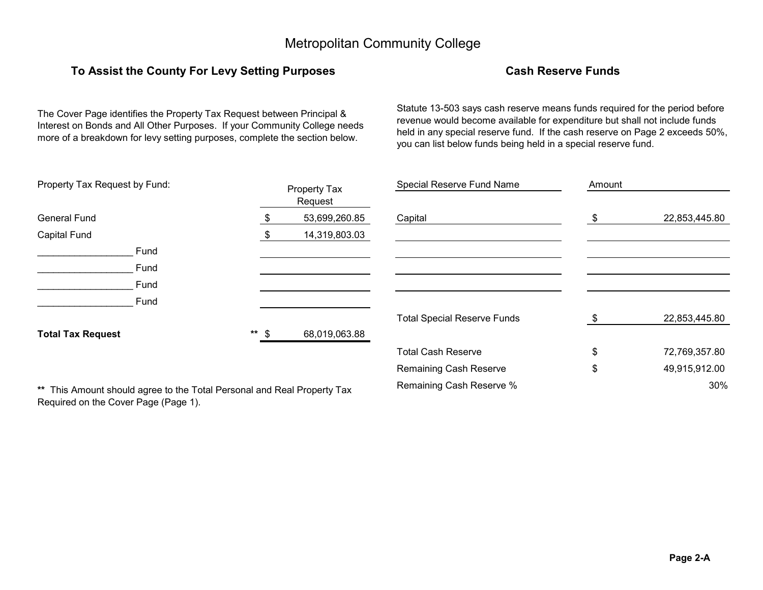## **To Assist the County For Levy Setting Purposes Cash Reserve Funds**

The Cover Page identifies the Property Tax Request between Principal & Interest on Bonds and All Other Purposes. If your Community College needs more of a breakdown for levy setting purposes, complete the section below.

Statute 13-503 says cash reserve means funds required for the period before revenue would become available for expenditure but shall not include funds held in any special reserve fund. If the cash reserve on Page 2 exceeds 50%, you can list below funds being held in a special reserve fund.

| Property Tax Request by Fund: |         | Property Tax  | Special Reserve Fund Name          | Amount |               |
|-------------------------------|---------|---------------|------------------------------------|--------|---------------|
|                               |         | Request       |                                    |        |               |
| <b>General Fund</b>           |         | 53,699,260.85 | Capital                            | \$.    | 22,853,445.80 |
| <b>Capital Fund</b>           |         | 14,319,803.03 |                                    |        |               |
| Fund                          |         |               |                                    |        |               |
| Fund                          |         |               |                                    |        |               |
| Fund                          |         |               |                                    |        |               |
| Fund                          |         |               |                                    |        |               |
|                               |         |               | <b>Total Special Reserve Funds</b> |        | 22,853,445.80 |
| <b>Total Tax Request</b>      | $**$ \$ | 68,019,063.88 |                                    |        |               |
|                               |         |               | <b>Total Cash Reserve</b>          | \$     | 72,769,357.80 |
|                               |         |               | <b>Remaining Cash Reserve</b>      | \$     | 49,915,912.00 |

Remaining Cash Reserve % 30% **\*\*** This Amount should agree to the Total Personal and Real Property Tax Required on the Cover Page (Page 1).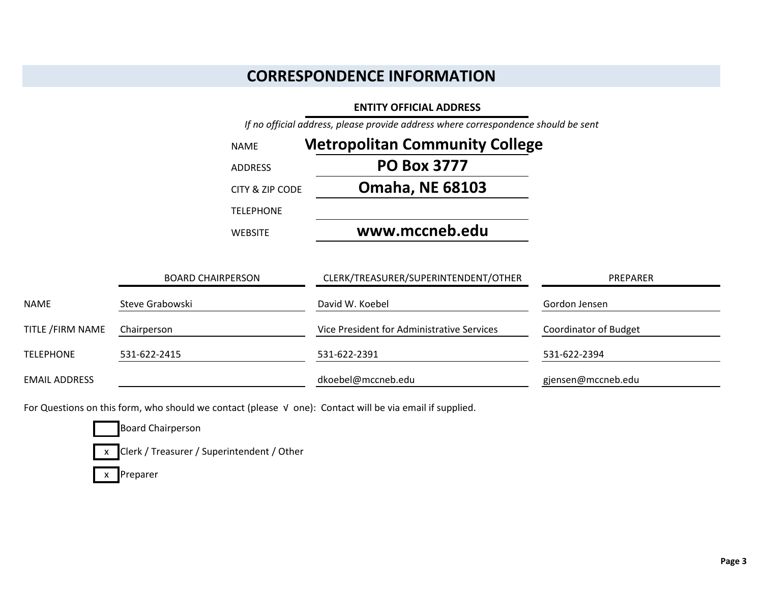## **CORRESPONDENCE INFORMATION**

#### **ENTITY OFFICIAL ADDRESS**

*If no official address, please provide address where correspondence should be sent*

| <b>NAME</b>      | <b>Metropolitan Community College</b> |
|------------------|---------------------------------------|
| <b>ADDRESS</b>   | <b>PO Box 3777</b>                    |
| CITY & ZIP CODE  | <b>Omaha, NE 68103</b>                |
| <b>TELEPHONE</b> |                                       |
| <b>WEBSITE</b>   | www.mccneb.edu                        |

|                      | <b>BOARD CHAIRPERSON</b> | CLERK/TREASURER/SUPERINTENDENT/OTHER       | PREPARER                     |
|----------------------|--------------------------|--------------------------------------------|------------------------------|
| NAME                 | Steve Grabowski          | David W. Koebel                            | Gordon Jensen                |
| TITLE / FIRM NAME    | Chairperson              | Vice President for Administrative Services | <b>Coordinator of Budget</b> |
| <b>TELEPHONE</b>     | 531-622-2415             | 531-622-2391                               | 531-622-2394                 |
| <b>EMAIL ADDRESS</b> |                          | dkoebel@mccneb.edu                         | gjensen@mccneb.edu           |

For Questions on this form, who should we contact (please √ one): Contact will be via email if supplied.

Board Chairperson

x Clerk / Treasurer / Superintendent / Other

x Preparer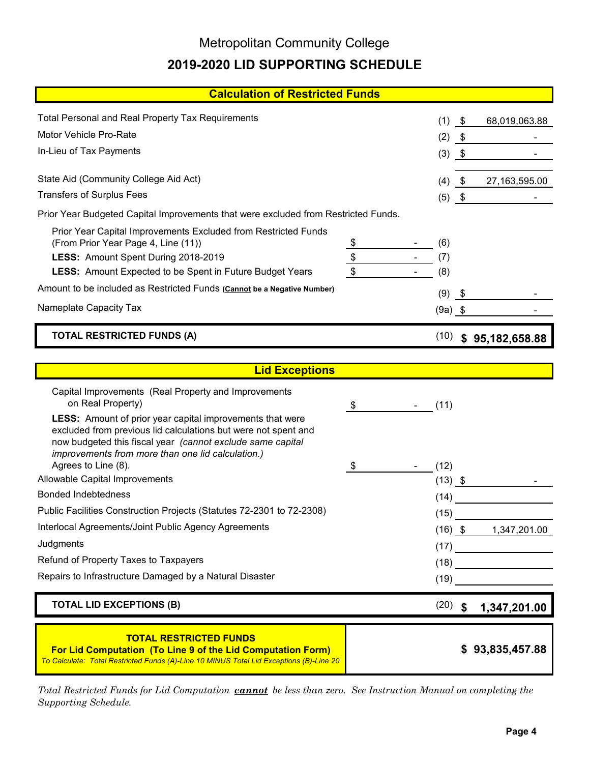# Metropolitan Community College **2019-2020 LID SUPPORTING SCHEDULE**

| <b>Calculation of Restricted Funds</b>                                                                 |                     |            |            |                         |
|--------------------------------------------------------------------------------------------------------|---------------------|------------|------------|-------------------------|
| <b>Total Personal and Real Property Tax Requirements</b>                                               |                     | (1)        | \$         | 68,019,063.88           |
| Motor Vehicle Pro-Rate                                                                                 |                     | (2)        | - \$       |                         |
| In-Lieu of Tax Payments                                                                                |                     | $(3)$ \$   |            |                         |
|                                                                                                        |                     |            |            |                         |
| State Aid (Community College Aid Act)                                                                  |                     | (4)        | - \$       | 27,163,595.00           |
| <b>Transfers of Surplus Fees</b>                                                                       |                     | (5)        | $\sqrt{3}$ |                         |
| Prior Year Budgeted Capital Improvements that were excluded from Restricted Funds.                     |                     |            |            |                         |
| Prior Year Capital Improvements Excluded from Restricted Funds                                         |                     |            |            |                         |
| (From Prior Year Page 4, Line (11))                                                                    | \$<br>$\frac{1}{2}$ | (6)        |            |                         |
| LESS: Amount Spent During 2018-2019<br><b>LESS:</b> Amount Expected to be Spent in Future Budget Years | $\sqrt{2}$          | (7)<br>(8) |            |                         |
|                                                                                                        |                     |            |            |                         |
| Amount to be included as Restricted Funds (Cannot be a Negative Number)                                |                     | (9)        | - \$       |                         |
| Nameplate Capacity Tax                                                                                 |                     | $(9a)$ \$  |            |                         |
| <b>TOTAL RESTRICTED FUNDS (A)</b>                                                                      |                     |            |            | $(10)$ \$ 95,182,658.88 |
|                                                                                                        |                     |            |            |                         |
| <b>Lid Exceptions</b>                                                                                  |                     |            |            |                         |
| Capital Improvements (Real Property and Improvements                                                   |                     |            |            |                         |
| on Real Property)<br>LESS: Amount of prior year capital improvements that were                         | \$                  | (11)       |            |                         |
| excluded from previous lid calculations but were not spent and                                         |                     |            |            |                         |
| now budgeted this fiscal year (cannot exclude same capital                                             |                     |            |            |                         |
| improvements from more than one lid calculation.)<br>Agrees to Line (8).                               | \$                  | (12)       |            |                         |
| Allowable Capital Improvements                                                                         |                     | $(13)$ \$  |            |                         |
| <b>Bonded Indebtedness</b>                                                                             |                     | (14)       |            |                         |
| Public Facilities Construction Projects (Statutes 72-2301 to 72-2308)                                  |                     |            |            |                         |
|                                                                                                        |                     |            |            |                         |
| Interlocal Agreements/Joint Public Agency Agreements                                                   |                     | (15)       |            |                         |
| Judgments                                                                                              |                     |            |            | $(16)$ \$ 1,347,201.00  |
| Refund of Property Taxes to Taxpayers                                                                  |                     |            |            | (17)                    |
| Repairs to Infrastructure Damaged by a Natural Disaster                                                |                     | (18)       |            |                         |
| <b>TOTAL LID EXCEPTIONS (B)</b>                                                                        |                     | (19)       |            |                         |
|                                                                                                        |                     | $(20)$ \$  |            | 1,347,201.00            |

*Total Restricted Funds for Lid Computation cannot be less than zero. See Instruction Manual on completing the Supporting Schedule.*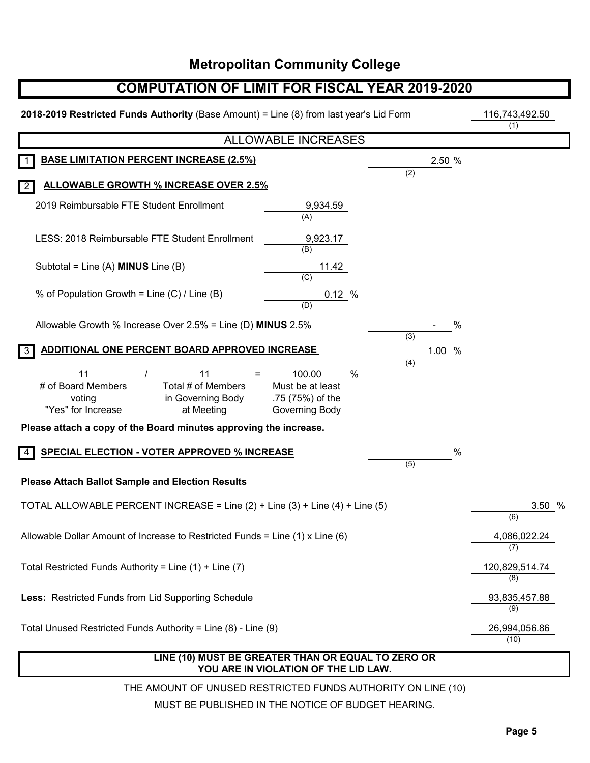## **COMPUTATION OF LIMIT FOR FISCAL YEAR 2019-2020**

| 2018-2019 Restricted Funds Authority (Base Amount) = Line (8) from last year's Lid Form                                 | 116,743,492.50<br>(1)                                                 |                  |        |                       |
|-------------------------------------------------------------------------------------------------------------------------|-----------------------------------------------------------------------|------------------|--------|-----------------------|
|                                                                                                                         | <b>ALLOWABLE INCREASES</b>                                            |                  |        |                       |
| <b>BASE LIMITATION PERCENT INCREASE (2.5%)</b>                                                                          |                                                                       | (2)              | 2.50 % |                       |
| <b>ALLOWABLE GROWTH % INCREASE OVER 2.5%</b><br>$\overline{2}$                                                          |                                                                       |                  |        |                       |
| 2019 Reimbursable FTE Student Enrollment                                                                                | 9,934.59<br>(A)                                                       |                  |        |                       |
| LESS: 2018 Reimbursable FTE Student Enrollment                                                                          | 9,923.17<br>(B)                                                       |                  |        |                       |
| Subtotal = Line (A) $MINUS$ Line (B)                                                                                    | 11.42<br>(C)                                                          |                  |        |                       |
| % of Population Growth = Line (C) / Line (B)                                                                            | 0.12 %<br>(D)                                                         |                  |        |                       |
| Allowable Growth % Increase Over 2.5% = Line (D) MINUS 2.5%                                                             |                                                                       |                  | %      |                       |
| ADDITIONAL ONE PERCENT BOARD APPROVED INCREASE<br>3                                                                     |                                                                       | (3)              | 1.00 % |                       |
| 11<br>11<br>Total # of Members<br># of Board Members<br>in Governing Body<br>voting<br>"Yes" for Increase<br>at Meeting | 100.00<br>%<br>Must be at least<br>.75 (75%) of the<br>Governing Body | (4)              |        |                       |
| Please attach a copy of the Board minutes approving the increase.                                                       |                                                                       |                  |        |                       |
| <b>SPECIAL ELECTION - VOTER APPROVED % INCREASE</b>                                                                     |                                                                       | $\overline{(5)}$ | %      |                       |
| <b>Please Attach Ballot Sample and Election Results</b>                                                                 |                                                                       |                  |        |                       |
| TOTAL ALLOWABLE PERCENT INCREASE = Line (2) + Line (3) + Line (4) + Line (5)                                            |                                                                       |                  |        | 3.50 %<br>(6)         |
| Allowable Dollar Amount of Increase to Restricted Funds = Line (1) x Line (6)                                           |                                                                       |                  |        | 4,086,022.24<br>(7)   |
| Total Restricted Funds Authority = Line $(1)$ + Line $(7)$                                                              |                                                                       |                  |        | 120,829,514.74<br>(8) |
| Less: Restricted Funds from Lid Supporting Schedule                                                                     |                                                                       |                  |        | 93,835,457.88<br>(9)  |
| Total Unused Restricted Funds Authority = Line (8) - Line (9)                                                           |                                                                       |                  |        | 26,994,056.86<br>(10) |

## **LINE (10) MUST BE GREATER THAN OR EQUAL TO ZERO OR YOU ARE IN VIOLATION OF THE LID LAW.**

THE AMOUNT OF UNUSED RESTRICTED FUNDS AUTHORITY ON LINE (10)

MUST BE PUBLISHED IN THE NOTICE OF BUDGET HEARING.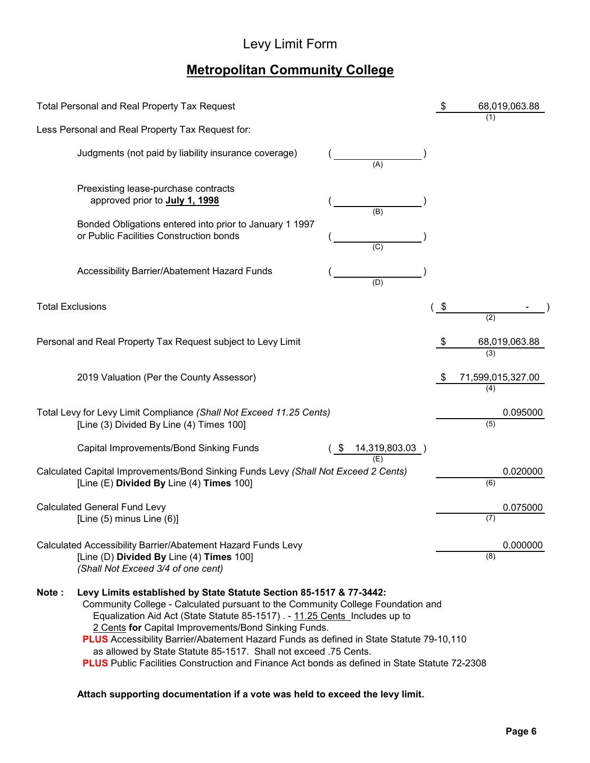# Levy Limit Form

# **Metropolitan Community College**

| <b>Total Personal and Real Property Tax Request</b>                                                                                                                                                                                                                                                                                                                                                                                                                                                                                                                           |                | \$  | 68,019,063.88            |
|-------------------------------------------------------------------------------------------------------------------------------------------------------------------------------------------------------------------------------------------------------------------------------------------------------------------------------------------------------------------------------------------------------------------------------------------------------------------------------------------------------------------------------------------------------------------------------|----------------|-----|--------------------------|
| Less Personal and Real Property Tax Request for:                                                                                                                                                                                                                                                                                                                                                                                                                                                                                                                              |                |     | (1)                      |
| Judgments (not paid by liability insurance coverage)                                                                                                                                                                                                                                                                                                                                                                                                                                                                                                                          | (A)            |     |                          |
| Preexisting lease-purchase contracts<br>approved prior to July 1, 1998                                                                                                                                                                                                                                                                                                                                                                                                                                                                                                        | (B)            |     |                          |
| Bonded Obligations entered into prior to January 1 1997<br>or Public Facilities Construction bonds                                                                                                                                                                                                                                                                                                                                                                                                                                                                            | $\overline{C}$ |     |                          |
| Accessibility Barrier/Abatement Hazard Funds                                                                                                                                                                                                                                                                                                                                                                                                                                                                                                                                  | (D)            |     |                          |
| <b>Total Exclusions</b>                                                                                                                                                                                                                                                                                                                                                                                                                                                                                                                                                       |                | \$  | (2)                      |
| Personal and Real Property Tax Request subject to Levy Limit                                                                                                                                                                                                                                                                                                                                                                                                                                                                                                                  |                | \$  | 68,019,063.88<br>(3)     |
| 2019 Valuation (Per the County Assessor)                                                                                                                                                                                                                                                                                                                                                                                                                                                                                                                                      |                | -\$ | 71,599,015,327.00<br>(4) |
| Total Levy for Levy Limit Compliance (Shall Not Exceed 11.25 Cents)<br>[Line (3) Divided By Line (4) Times 100]                                                                                                                                                                                                                                                                                                                                                                                                                                                               |                |     | 0.095000<br>(5)          |
| Capital Improvements/Bond Sinking Funds                                                                                                                                                                                                                                                                                                                                                                                                                                                                                                                                       | 14,319,803.03  |     |                          |
| Calculated Capital Improvements/Bond Sinking Funds Levy (Shall Not Exceed 2 Cents)<br>[Line (E) Divided By Line (4) Times 100]                                                                                                                                                                                                                                                                                                                                                                                                                                                |                |     | 0.020000<br>(6)          |
| <b>Calculated General Fund Levy</b><br>[Line $(5)$ minus Line $(6)$ ]                                                                                                                                                                                                                                                                                                                                                                                                                                                                                                         |                |     | 0.075000<br>(7)          |
| Calculated Accessibility Barrier/Abatement Hazard Funds Levy<br>[Line (D) Divided By Line (4) Times 100]<br>(Shall Not Exceed 3/4 of one cent)                                                                                                                                                                                                                                                                                                                                                                                                                                |                |     | 0.000000<br>(8)          |
| Levy Limits established by State Statute Section 85-1517 & 77-3442:<br>Note:<br>Community College - Calculated pursuant to the Community College Foundation and<br>Equalization Aid Act (State Statute 85-1517) . - 11.25 Cents Includes up to<br>2 Cents for Capital Improvements/Bond Sinking Funds.<br>PLUS Accessibility Barrier/Abatement Hazard Funds as defined in State Statute 79-10,110<br>as allowed by State Statute 85-1517. Shall not exceed .75 Cents.<br><b>PLUS</b> Public Facilities Construction and Finance Act bonds as defined in State Statute 72-2308 |                |     |                          |

## **Attach supporting documentation if a vote was held to exceed the levy limit.**